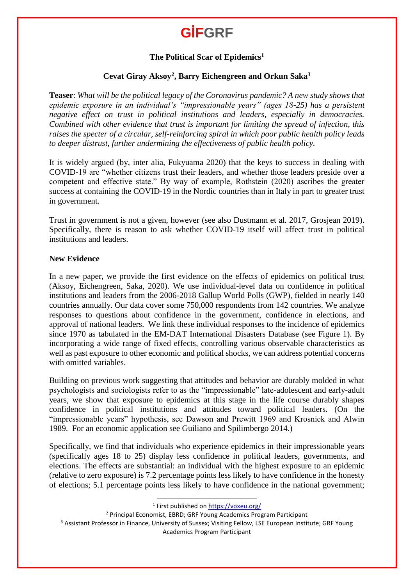### **The Political Scar of Epidemics<sup>1</sup>**

### **Cevat Giray Aksoy<sup>2</sup> , Barry Eichengreen and Orkun Saka<sup>3</sup>**

**Teaser**: *What will be the political legacy of the Coronavirus pandemic? A new study shows that epidemic exposure in an individual's "impressionable years" (ages 18-25) has a persistent negative effect on trust in political institutions and leaders, especially in democracies. Combined with other evidence that trust is important for limiting the spread of infection, this raises the specter of a circular, self-reinforcing spiral in which poor public health policy leads to deeper distrust, further undermining the effectiveness of public health policy.*

It is widely argued (by, inter alia, Fukyuama 2020) that the keys to success in dealing with COVID-19 are "whether citizens trust their leaders, and whether those leaders preside over a competent and effective state." By way of example, Rothstein (2020) ascribes the greater success at containing the COVID-19 in the Nordic countries than in Italy in part to greater trust in government.

Trust in government is not a given, however (see also Dustmann et al. 2017, Grosjean 2019). Specifically, there is reason to ask whether COVID-19 itself will affect trust in political institutions and leaders.

### **New Evidence**

In a new paper, we provide the first evidence on the effects of epidemics on political trust (Aksoy, Eichengreen, Saka, 2020). We use individual-level data on confidence in political institutions and leaders from the 2006-2018 Gallup World Polls (GWP), fielded in nearly 140 countries annually. Our data cover some 750,000 respondents from 142 countries. We analyze responses to questions about confidence in the government, confidence in elections, and approval of national leaders. We link these individual responses to the incidence of epidemics since 1970 as tabulated in the EM-DAT International Disasters Database (see Figure 1). By incorporating a wide range of fixed effects, controlling various observable characteristics as well as past exposure to other economic and political shocks, we can address potential concerns with omitted variables.

Building on previous work suggesting that attitudes and behavior are durably molded in what psychologists and sociologists refer to as the "impressionable" late-adolescent and early-adult years, we show that exposure to epidemics at this stage in the life course durably shapes confidence in political institutions and attitudes toward political leaders. (On the "impressionable years" hypothesis, see Dawson and Prewitt 1969 and Krosnick and Alwin 1989. For an economic application see Guiliano and Spilimbergo 2014.)

Specifically, we find that individuals who experience epidemics in their impressionable years (specifically ages 18 to 25) display less confidence in political leaders, governments, and elections. The effects are substantial: an individual with the highest exposure to an epidemic (relative to zero exposure) is 7.2 percentage points less likely to have confidence in the honesty of elections; 5.1 percentage points less likely to have confidence in the national government;

<sup>1</sup> First published on **<https://voxeu.org/>** 

<sup>2</sup> Principal Economist, EBRD; GRF Young Academics Program Participant

 $\overline{a}$ 

<sup>3</sup> Assistant Professor in Finance, University of Sussex; Visiting Fellow, LSE European Institute; GRF Young Academics Program Participant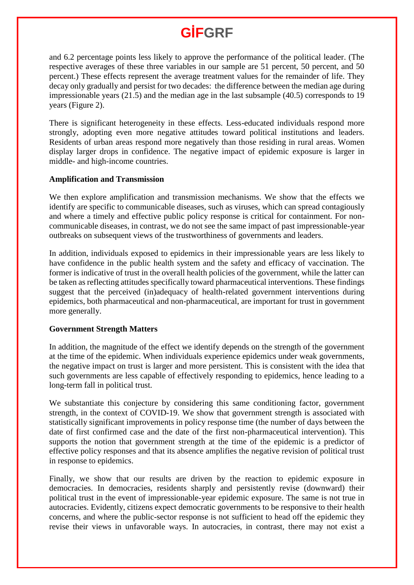and 6.2 percentage points less likely to approve the performance of the political leader. (The respective averages of these three variables in our sample are 51 percent, 50 percent, and 50 percent.) These effects represent the average treatment values for the remainder of life. They decay only gradually and persist for two decades: the difference between the median age during impressionable years (21.5) and the median age in the last subsample (40.5) corresponds to 19 years (Figure 2).

There is significant heterogeneity in these effects. Less-educated individuals respond more strongly, adopting even more negative attitudes toward political institutions and leaders. Residents of urban areas respond more negatively than those residing in rural areas. Women display larger drops in confidence. The negative impact of epidemic exposure is larger in middle- and high-income countries.

#### **Amplification and Transmission**

We then explore amplification and transmission mechanisms. We show that the effects we identify are specific to communicable diseases, such as viruses, which can spread contagiously and where a timely and effective public policy response is critical for containment. For noncommunicable diseases, in contrast, we do not see the same impact of past impressionable-year outbreaks on subsequent views of the trustworthiness of governments and leaders.

In addition, individuals exposed to epidemics in their impressionable years are less likely to have confidence in the public health system and the safety and efficacy of vaccination. The former is indicative of trust in the overall health policies of the government, while the latter can be taken as reflecting attitudes specifically toward pharmaceutical interventions. These findings suggest that the perceived (in)adequacy of health-related government interventions during epidemics, both pharmaceutical and non-pharmaceutical, are important for trust in government more generally.

### **Government Strength Matters**

In addition, the magnitude of the effect we identify depends on the strength of the government at the time of the epidemic. When individuals experience epidemics under weak governments, the negative impact on trust is larger and more persistent. This is consistent with the idea that such governments are less capable of effectively responding to epidemics, hence leading to a long-term fall in political trust.

We substantiate this conjecture by considering this same conditioning factor, government strength, in the context of COVID-19. We show that government strength is associated with statistically significant improvements in policy response time (the number of days between the date of first confirmed case and the date of the first non-pharmaceutical intervention). This supports the notion that government strength at the time of the epidemic is a predictor of effective policy responses and that its absence amplifies the negative revision of political trust in response to epidemics.

Finally, we show that our results are driven by the reaction to epidemic exposure in democracies. In democracies, residents sharply and persistently revise (downward) their political trust in the event of impressionable-year epidemic exposure. The same is not true in autocracies. Evidently, citizens expect democratic governments to be responsive to their health concerns, and where the public-sector response is not sufficient to head off the epidemic they revise their views in unfavorable ways. In autocracies, in contrast, there may not exist a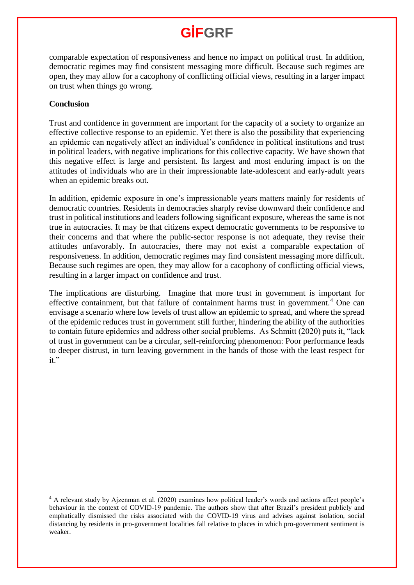comparable expectation of responsiveness and hence no impact on political trust. In addition, democratic regimes may find consistent messaging more difficult. Because such regimes are open, they may allow for a cacophony of conflicting official views, resulting in a larger impact on trust when things go wrong.

### **Conclusion**

Trust and confidence in government are important for the capacity of a society to organize an effective collective response to an epidemic. Yet there is also the possibility that experiencing an epidemic can negatively affect an individual's confidence in political institutions and trust in political leaders, with negative implications for this collective capacity. We have shown that this negative effect is large and persistent. Its largest and most enduring impact is on the attitudes of individuals who are in their impressionable late-adolescent and early-adult years when an epidemic breaks out.

In addition, epidemic exposure in one's impressionable years matters mainly for residents of democratic countries. Residents in democracies sharply revise downward their confidence and trust in political institutions and leaders following significant exposure, whereas the same is not true in autocracies. It may be that citizens expect democratic governments to be responsive to their concerns and that where the public-sector response is not adequate, they revise their attitudes unfavorably. In autocracies, there may not exist a comparable expectation of responsiveness. In addition, democratic regimes may find consistent messaging more difficult. Because such regimes are open, they may allow for a cacophony of conflicting official views, resulting in a larger impact on confidence and trust.

The implications are disturbing. Imagine that more trust in government is important for effective containment, but that failure of containment harms trust in government.<sup>4</sup> One can envisage a scenario where low levels of trust allow an epidemic to spread, and where the spread of the epidemic reduces trust in government still further, hindering the ability of the authorities to contain future epidemics and address other social problems. As Schmitt (2020) puts it, "lack of trust in government can be a circular, self-reinforcing phenomenon: Poor performance leads to deeper distrust, in turn leaving government in the hands of those with the least respect for it."

 $\overline{\phantom{a}}$ 

<sup>4</sup> A relevant study by Ajzenman et al. (2020) examines how political leader's words and actions affect people's behaviour in the context of COVID-19 pandemic. The authors show that after Brazil's president publicly and emphatically dismissed the risks associated with the COVID-19 virus and advises against isolation, social distancing by residents in pro-government localities fall relative to places in which pro-government sentiment is weaker.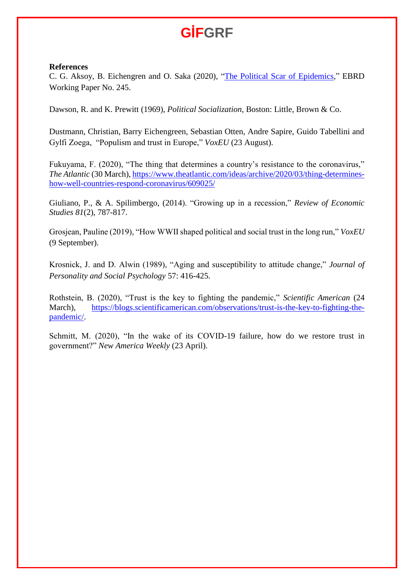#### **References**

C. G. Aksoy, B. Eichengren and O. Saka (2020), ["The Political Scar of Epidemics,](https://www.ebrd.com/publications/working-papers/the-political-scar-of-epidemics)" EBRD Working Paper No. 245.

Dawson, R. and K. Prewitt (1969), *Political Socialization*, Boston: Little, Brown & Co.

Dustmann, Christian, Barry Eichengreen, Sebastian Otten, Andre Sapire, Guido Tabellini and Gylfi Zoega, "Populism and trust in Europe," *VoxEU* (23 August).

Fukuyama, F. (2020), "The thing that determines a country's resistance to the coronavirus," *The Atlantic* (30 March)[, https://www.theatlantic.com/ideas/archive/2020/03/thing-determines](https://www.theatlantic.com/ideas/archive/2020/03/thing-determines-how-well-countries-respond-coronavirus/609025/)[how-well-countries-respond-coronavirus/609025/](https://www.theatlantic.com/ideas/archive/2020/03/thing-determines-how-well-countries-respond-coronavirus/609025/)

Giuliano, P., & A. Spilimbergo, (2014). "Growing up in a recession," *Review of Economic Studies 81*(2), 787-817.

Grosjean, Pauline (2019), "How WWII shaped political and social trust in the long run," *VoxEU* (9 September).

Krosnick, J. and D. Alwin (1989), "Aging and susceptibility to attitude change," *Journal of Personality and Social Psychology* 57: 416-425.

Rothstein, B. (2020), "Trust is the key to fighting the pandemic," *Scientific American* (24 March), [https://blogs.scientificamerican.com/observations/trust-is-the-key-to-fighting-the](https://blogs.scientificamerican.com/observations/trust-is-the-key-to-fighting-the-pandemic/)[pandemic/.](https://blogs.scientificamerican.com/observations/trust-is-the-key-to-fighting-the-pandemic/)

Schmitt, M. (2020), "In the wake of its COVID-19 failure, how do we restore trust in government?" *New America Weekly* (23 April).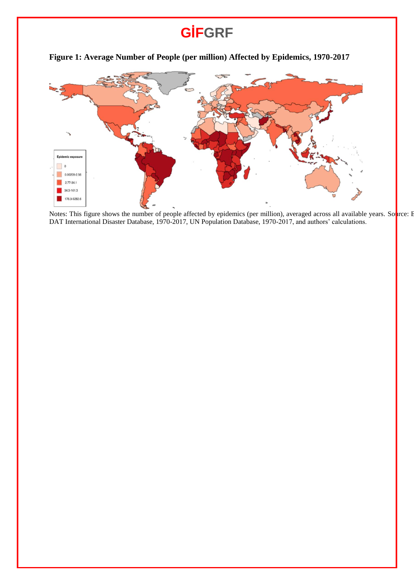

**Figure 1: Average Number of People (per million) Affected by Epidemics, 1970-2017**

Notes: This figure shows the number of people affected by epidemics (per million), averaged across all available years. Source: E DAT International Disaster Database, 1970-2017, UN Population Database, 1970-2017, and authors' calculations.